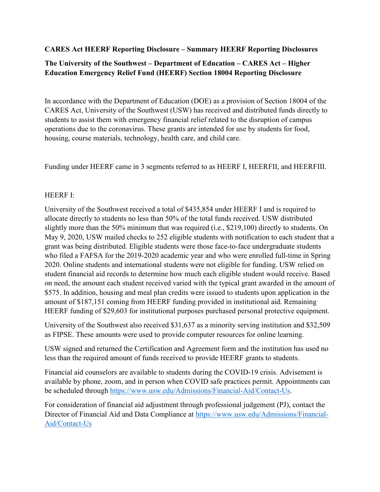#### **CARES Act HEERF Reporting Disclosure – Summary HEERF Reporting Disclosures**

# **The University of the Southwest – Department of Education – CARES Act – Higher Education Emergency Relief Fund (HEERF) Section 18004 Reporting Disclosure**

In accordance with the Department of Education (DOE) as a provision of Section 18004 of the CARES Act, University of the Southwest (USW) has received and distributed funds directly to students to assist them with emergency financial relief related to the disruption of campus operations due to the coronavirus. These grants are intended for use by students for food, housing, course materials, technology, health care, and child care.

Funding under HEERF came in 3 segments referred to as HEERF I, HEERFII, and HEERFIII.

## HEERF I:

University of the Southwest received a total of \$435,854 under HEERF I and is required to allocate directly to students no less than 50% of the total funds received. USW distributed slightly more than the 50% minimum that was required (i.e., \$219,100) directly to students. On May 9, 2020, USW mailed checks to 252 eligible students with notification to each student that a grant was being distributed. Eligible students were those face-to-face undergraduate students who filed a FAFSA for the 2019-2020 academic year and who were enrolled full-time in Spring 2020. Online students and international students were not eligible for funding. USW relied on student financial aid records to determine how much each eligible student would receive. Based on need, the amount each student received varied with the typical grant awarded in the amount of \$575. In addition, housing and meal plan credits were issued to students upon application in the amount of \$187,151 coming from HEERF funding provided in institutional aid. Remaining HEERF funding of \$29,603 for institutional purposes purchased personal protective equipment.

University of the Southwest also received \$31,637 as a minority serving institution and \$32,509 as FIPSE. These amounts were used to provide computer resources for online learning.

USW signed and returned the Certification and Agreement form and the institution has used no less than the required amount of funds received to provide HEERF grants to students.

Financial aid counselors are available to students during the COVID-19 crisis. Advisement is available by phone, zoom, and in person when COVID safe practices permit. Appointments can be scheduled through [https://www.usw.edu/Admissions/Financial-Aid/Contact-Us.](https://www.usw.edu/Admissions/Financial-Aid/Contact-Us)

For consideration of financial aid adjustment through professional judgement (PJ), contact the Director of Financial Aid and Data Compliance at [https://www.usw.edu/Admissions/Financial-](https://www.usw.edu/Admissions/Financial-Aid/Contact-Us)[Aid/Contact-Us](https://www.usw.edu/Admissions/Financial-Aid/Contact-Us)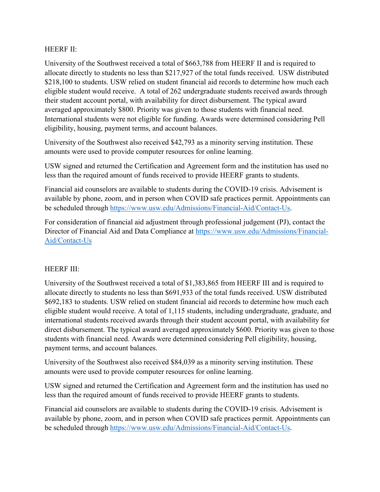#### HEERF II:

University of the Southwest received a total of \$663,788 from HEERF II and is required to allocate directly to students no less than \$217,927 of the total funds received. USW distributed \$218,100 to students. USW relied on student financial aid records to determine how much each eligible student would receive. A total of 262 undergraduate students received awards through their student account portal, with availability for direct disbursement. The typical award averaged approximately \$800. Priority was given to those students with financial need. International students were not eligible for funding. Awards were determined considering Pell eligibility, housing, payment terms, and account balances.

University of the Southwest also received \$42,793 as a minority serving institution. These amounts were used to provide computer resources for online learning.

USW signed and returned the Certification and Agreement form and the institution has used no less than the required amount of funds received to provide HEERF grants to students.

Financial aid counselors are available to students during the COVID-19 crisis. Advisement is available by phone, zoom, and in person when COVID safe practices permit. Appointments can be scheduled through [https://www.usw.edu/Admissions/Financial-Aid/Contact-Us.](https://www.usw.edu/Admissions/Financial-Aid/Contact-Us)

For consideration of financial aid adjustment through professional judgement (PJ), contact the Director of Financial Aid and Data Compliance at [https://www.usw.edu/Admissions/Financial-](https://www.usw.edu/Admissions/Financial-Aid/Contact-Us)[Aid/Contact-Us](https://www.usw.edu/Admissions/Financial-Aid/Contact-Us)

## HEERF III:

University of the Southwest received a total of \$1,383,865 from HEERF III and is required to allocate directly to students no less than \$691,933 of the total funds received. USW distributed \$692,183 to students. USW relied on student financial aid records to determine how much each eligible student would receive. A total of 1,115 students, including undergraduate, graduate, and international students received awards through their student account portal, with availability for direct disbursement. The typical award averaged approximately \$600. Priority was given to those students with financial need. Awards were determined considering Pell eligibility, housing, payment terms, and account balances.

University of the Southwest also received \$84,039 as a minority serving institution. These amounts were used to provide computer resources for online learning.

USW signed and returned the Certification and Agreement form and the institution has used no less than the required amount of funds received to provide HEERF grants to students.

Financial aid counselors are available to students during the COVID-19 crisis. Advisement is available by phone, zoom, and in person when COVID safe practices permit. Appointments can be scheduled through [https://www.usw.edu/Admissions/Financial-Aid/Contact-Us.](https://www.usw.edu/Admissions/Financial-Aid/Contact-Us)